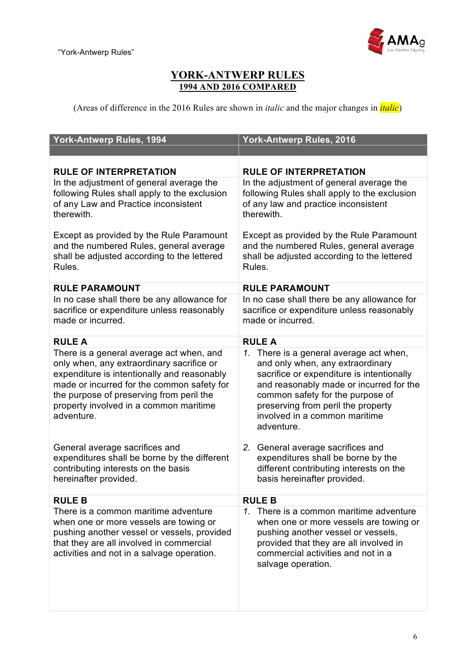

## **YORK-ANTWERP RULES 1994 AND 2016 COMPARED**

(Areas of difference in the 2016 Rules are shown in *italic* and the major changes in *italic*)

| <b>York-Antwerp Rules, 1994</b>                                                                                                                                                                                                                                                        | <b>York-Antwerp Rules, 2016</b>                                                                                                                                                                                                                                                              |
|----------------------------------------------------------------------------------------------------------------------------------------------------------------------------------------------------------------------------------------------------------------------------------------|----------------------------------------------------------------------------------------------------------------------------------------------------------------------------------------------------------------------------------------------------------------------------------------------|
|                                                                                                                                                                                                                                                                                        |                                                                                                                                                                                                                                                                                              |
| <b>RULE OF INTERPRETATION</b>                                                                                                                                                                                                                                                          | <b>RULE OF INTERPRETATION</b>                                                                                                                                                                                                                                                                |
| In the adjustment of general average the<br>following Rules shall apply to the exclusion<br>of any Law and Practice inconsistent<br>therewith.                                                                                                                                         | In the adjustment of general average the<br>following Rules shall apply to the exclusion<br>of any law and practice inconsistent<br>therewith.                                                                                                                                               |
| Except as provided by the Rule Paramount<br>and the numbered Rules, general average<br>shall be adjusted according to the lettered<br>Rules.                                                                                                                                           | Except as provided by the Rule Paramount<br>and the numbered Rules, general average<br>shall be adjusted according to the lettered<br>Rules.                                                                                                                                                 |
| <b>RULE PARAMOUNT</b>                                                                                                                                                                                                                                                                  | <b>RULE PARAMOUNT</b>                                                                                                                                                                                                                                                                        |
| In no case shall there be any allowance for<br>sacrifice or expenditure unless reasonably<br>made or incurred.                                                                                                                                                                         | In no case shall there be any allowance for<br>sacrifice or expenditure unless reasonably<br>made or incurred.                                                                                                                                                                               |
| <b>RULE A</b>                                                                                                                                                                                                                                                                          | <b>RULE A</b>                                                                                                                                                                                                                                                                                |
| There is a general average act when, and<br>only when, any extraordinary sacrifice or<br>expenditure is intentionally and reasonably<br>made or incurred for the common safety for<br>the purpose of preserving from peril the<br>property involved in a common maritime<br>adventure. | 1. There is a general average act when,<br>and only when, any extraordinary<br>sacrifice or expenditure is intentionally<br>and reasonably made or incurred for the<br>common safety for the purpose of<br>preserving from peril the property<br>involved in a common maritime<br>adventure. |
| General average sacrifices and<br>expenditures shall be borne by the different<br>contributing interests on the basis<br>hereinafter provided.                                                                                                                                         | 2. General average sacrifices and<br>expenditures shall be borne by the<br>different contributing interests on the<br>basis hereinafter provided.                                                                                                                                            |
| <b>RULE B</b>                                                                                                                                                                                                                                                                          | <b>RULE B</b>                                                                                                                                                                                                                                                                                |
| There is a common maritime adventure<br>when one or more vessels are towing or<br>pushing another vessel or vessels, provided<br>that they are all involved in commercial<br>activities and not in a salvage operation.                                                                | 1. There is a common maritime adventure<br>when one or more vessels are towing or<br>pushing another vessel or vessels,<br>provided that they are all involved in<br>commercial activities and not in a<br>salvage operation.                                                                |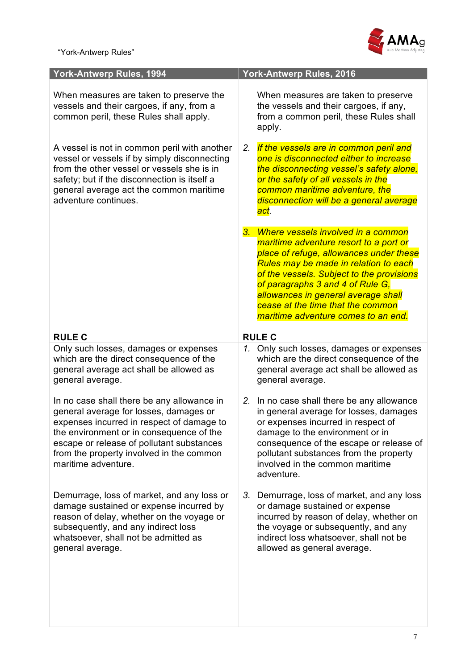

| <b>York-Antwerp Rules, 2016</b>                                                                                                                                                                                                                                                                                                                                         |
|-------------------------------------------------------------------------------------------------------------------------------------------------------------------------------------------------------------------------------------------------------------------------------------------------------------------------------------------------------------------------|
| When measures are taken to preserve<br>the vessels and their cargoes, if any,<br>from a common peril, these Rules shall<br>apply.                                                                                                                                                                                                                                       |
| If the vessels are in common peril and<br>one is disconnected either to increase<br>the disconnecting vessel's safety alone,<br>or the safety of all vessels in the<br>common maritime adventure, the<br>disconnection will be a general average<br>act.                                                                                                                |
| 3. Where vessels involved in a common<br>maritime adventure resort to a port or<br>place of refuge, allowances under these<br>Rules may be made in relation to each<br>of the vessels. Subject to the provisions<br>of paragraphs 3 and 4 of Rule G,<br>allowances in general average shall<br>cease at the time that the common<br>maritime adventure comes to an end. |
| <b>RULE C</b>                                                                                                                                                                                                                                                                                                                                                           |
| 1. Only such losses, damages or expenses<br>which are the direct consequence of the<br>general average act shall be allowed as<br>general average.                                                                                                                                                                                                                      |
| 2. In no case shall there be any allowance<br>in general average for losses, damages<br>or expenses incurred in respect of<br>damage to the environment or in<br>consequence of the escape or release of<br>pollutant substances from the property<br>involved in the common maritime<br>adventure.                                                                     |
| Demurrage, loss of market, and any loss<br>or damage sustained or expense<br>incurred by reason of delay, whether on<br>the voyage or subsequently, and any<br>indirect loss whatsoever, shall not be<br>allowed as general average.                                                                                                                                    |
|                                                                                                                                                                                                                                                                                                                                                                         |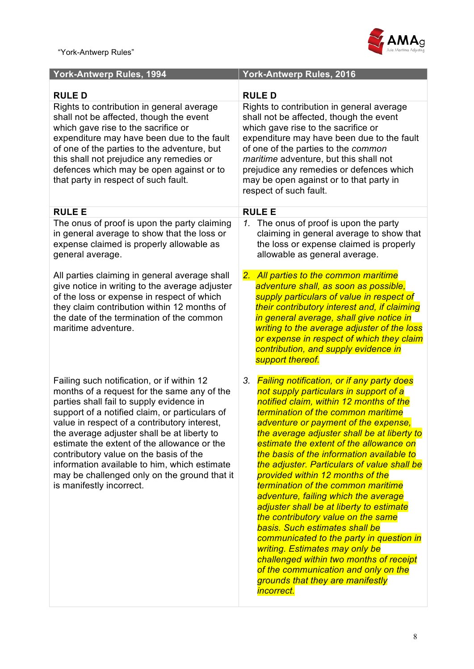

| <b>York-Antwerp Rules, 1994</b>                                                                                                                                                                                                                                                                                                                                                                                                                                                                             | <b>York-Antwerp Rules, 2016</b>                                                                                                                                                                                                                                                                                                                                                                                                                                                                                                                                                                                                                                                                                                                                                                                                                                        |
|-------------------------------------------------------------------------------------------------------------------------------------------------------------------------------------------------------------------------------------------------------------------------------------------------------------------------------------------------------------------------------------------------------------------------------------------------------------------------------------------------------------|------------------------------------------------------------------------------------------------------------------------------------------------------------------------------------------------------------------------------------------------------------------------------------------------------------------------------------------------------------------------------------------------------------------------------------------------------------------------------------------------------------------------------------------------------------------------------------------------------------------------------------------------------------------------------------------------------------------------------------------------------------------------------------------------------------------------------------------------------------------------|
| <b>RULED</b><br>Rights to contribution in general average<br>shall not be affected, though the event<br>which gave rise to the sacrifice or<br>expenditure may have been due to the fault<br>of one of the parties to the adventure, but<br>this shall not prejudice any remedies or<br>defences which may be open against or to<br>that party in respect of such fault.                                                                                                                                    | <b>RULED</b><br>Rights to contribution in general average<br>shall not be affected, though the event<br>which gave rise to the sacrifice or<br>expenditure may have been due to the fault<br>of one of the parties to the common<br>maritime adventure, but this shall not<br>prejudice any remedies or defences which<br>may be open against or to that party in<br>respect of such fault.                                                                                                                                                                                                                                                                                                                                                                                                                                                                            |
| <b>RULE E</b>                                                                                                                                                                                                                                                                                                                                                                                                                                                                                               | <b>RULE E</b>                                                                                                                                                                                                                                                                                                                                                                                                                                                                                                                                                                                                                                                                                                                                                                                                                                                          |
| The onus of proof is upon the party claiming<br>in general average to show that the loss or<br>expense claimed is properly allowable as<br>general average.                                                                                                                                                                                                                                                                                                                                                 | 1. The onus of proof is upon the party<br>claiming in general average to show that<br>the loss or expense claimed is properly<br>allowable as general average.                                                                                                                                                                                                                                                                                                                                                                                                                                                                                                                                                                                                                                                                                                         |
| All parties claiming in general average shall<br>give notice in writing to the average adjuster<br>of the loss or expense in respect of which<br>they claim contribution within 12 months of<br>the date of the termination of the common<br>maritime adventure.                                                                                                                                                                                                                                            | 2. All parties to the common maritime<br>adventure shall, as soon as possible,<br>supply particulars of value in respect of<br>their contributory interest and, if claiming<br>in general average, shall give notice in<br>writing to the average adjuster of the loss<br>or expense in respect of which they claim<br>contribution, and supply evidence in<br>support thereof.                                                                                                                                                                                                                                                                                                                                                                                                                                                                                        |
| Failing such notification, or if within 12<br>months of a request for the same any of the<br>parties shall fail to supply evidence in<br>support of a notified claim, or particulars of<br>value in respect of a contributory interest,<br>the average adjuster shall be at liberty to<br>estimate the extent of the allowance or the<br>contributory value on the basis of the<br>information available to him, which estimate<br>may be challenged only on the ground that it<br>is manifestly incorrect. | 3. Failing notification, or if any party does<br>not supply particulars in support of a<br>notified claim, within 12 months of the<br>termination of the common maritime<br>adventure or payment of the expense,<br>the average adjuster shall be at liberty to<br>estimate the extent of the allowance on<br>the basis of the information available to<br>the adjuster. Particulars of value shall be<br>provided within 12 months of the<br>termination of the common maritime<br>adventure, failing which the average<br>adjuster shall be at liberty to estimate<br>the contributory value on the same<br>basis. Such estimates shall be<br>communicated to the party in question in<br>writing. Estimates may only be<br>challenged within two months of receipt<br>of the communication and only on the<br>grounds that they are manifestly<br><i>incorrect.</i> |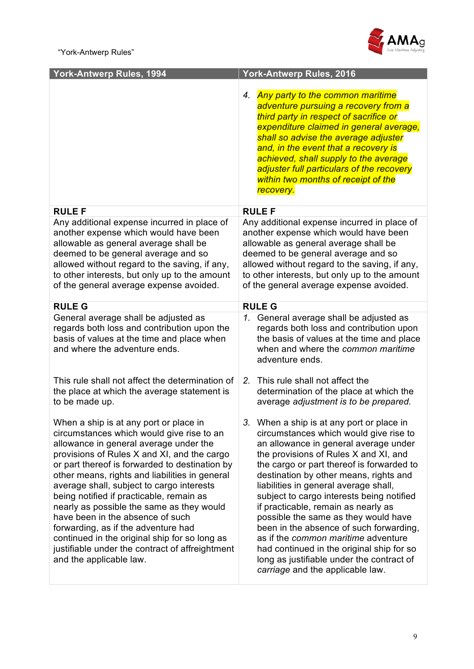

| <b>York-Antwerp Rules, 1994</b>                                                                                                                                                                                                                                                                                                                                                                                                                                                                                                                                                                                                  | <b>York-Antwerp Rules, 2016</b>                                                                                                                                                                                                                                                                                                                                                                                                                                                                                                                                                                                                                   |
|----------------------------------------------------------------------------------------------------------------------------------------------------------------------------------------------------------------------------------------------------------------------------------------------------------------------------------------------------------------------------------------------------------------------------------------------------------------------------------------------------------------------------------------------------------------------------------------------------------------------------------|---------------------------------------------------------------------------------------------------------------------------------------------------------------------------------------------------------------------------------------------------------------------------------------------------------------------------------------------------------------------------------------------------------------------------------------------------------------------------------------------------------------------------------------------------------------------------------------------------------------------------------------------------|
|                                                                                                                                                                                                                                                                                                                                                                                                                                                                                                                                                                                                                                  | 4. Any party to the common maritime<br>adventure pursuing a recovery from a<br>third party in respect of sacrifice or<br>expenditure claimed in general average,<br>shall so advise the average adjuster<br>and, in the event that a recovery is<br>achieved, shall supply to the average<br>adjuster full particulars of the recovery<br>within two months of receipt of the<br>recovery.                                                                                                                                                                                                                                                        |
| <b>RULE F</b>                                                                                                                                                                                                                                                                                                                                                                                                                                                                                                                                                                                                                    | <b>RULE F</b>                                                                                                                                                                                                                                                                                                                                                                                                                                                                                                                                                                                                                                     |
| Any additional expense incurred in place of<br>another expense which would have been<br>allowable as general average shall be<br>deemed to be general average and so<br>allowed without regard to the saving, if any,<br>to other interests, but only up to the amount<br>of the general average expense avoided.                                                                                                                                                                                                                                                                                                                | Any additional expense incurred in place of<br>another expense which would have been<br>allowable as general average shall be<br>deemed to be general average and so<br>allowed without regard to the saving, if any,<br>to other interests, but only up to the amount<br>of the general average expense avoided.                                                                                                                                                                                                                                                                                                                                 |
| <b>RULE G</b>                                                                                                                                                                                                                                                                                                                                                                                                                                                                                                                                                                                                                    | <b>RULE G</b>                                                                                                                                                                                                                                                                                                                                                                                                                                                                                                                                                                                                                                     |
| General average shall be adjusted as<br>regards both loss and contribution upon the<br>basis of values at the time and place when<br>and where the adventure ends.                                                                                                                                                                                                                                                                                                                                                                                                                                                               | 1. General average shall be adjusted as<br>regards both loss and contribution upon<br>the basis of values at the time and place<br>when and where the common maritime<br>adventure ends.                                                                                                                                                                                                                                                                                                                                                                                                                                                          |
| This rule shall not affect the determination of<br>the place at which the average statement is<br>to be made up.                                                                                                                                                                                                                                                                                                                                                                                                                                                                                                                 | 2. This rule shall not affect the<br>determination of the place at which the<br>average adjustment is to be prepared.                                                                                                                                                                                                                                                                                                                                                                                                                                                                                                                             |
| When a ship is at any port or place in<br>circumstances which would give rise to an<br>allowance in general average under the<br>provisions of Rules X and XI, and the cargo<br>or part thereof is forwarded to destination by<br>other means, rights and liabilities in general<br>average shall, subject to cargo interests<br>being notified if practicable, remain as<br>nearly as possible the same as they would<br>have been in the absence of such<br>forwarding, as if the adventure had<br>continued in the original ship for so long as<br>justifiable under the contract of affreightment<br>and the applicable law. | 3. When a ship is at any port or place in<br>circumstances which would give rise to<br>an allowance in general average under<br>the provisions of Rules X and XI, and<br>the cargo or part thereof is forwarded to<br>destination by other means, rights and<br>liabilities in general average shall,<br>subject to cargo interests being notified<br>if practicable, remain as nearly as<br>possible the same as they would have<br>been in the absence of such forwarding,<br>as if the common maritime adventure<br>had continued in the original ship for so<br>long as justifiable under the contract of<br>carriage and the applicable law. |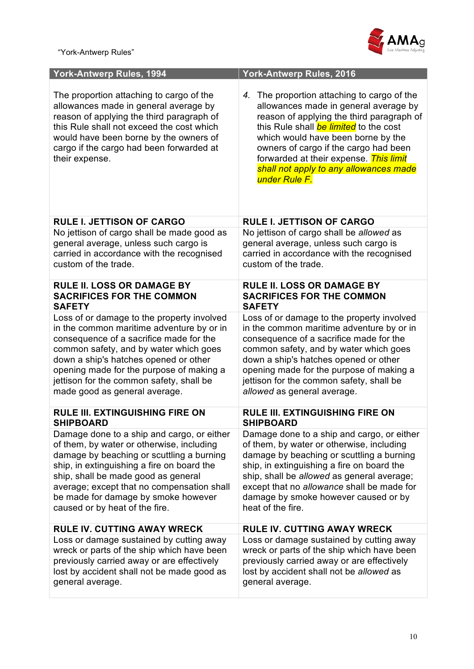

| <b>York-Antwerp Rules, 1994</b>                                                                                                                                                                                                                                                     | <b>York-Antwerp Rules, 2016</b>                                                                                                                                                                                                                                                                                                                                               |
|-------------------------------------------------------------------------------------------------------------------------------------------------------------------------------------------------------------------------------------------------------------------------------------|-------------------------------------------------------------------------------------------------------------------------------------------------------------------------------------------------------------------------------------------------------------------------------------------------------------------------------------------------------------------------------|
| The proportion attaching to cargo of the<br>allowances made in general average by<br>reason of applying the third paragraph of<br>this Rule shall not exceed the cost which<br>would have been borne by the owners of<br>cargo if the cargo had been forwarded at<br>their expense. | 4. The proportion attaching to cargo of the<br>allowances made in general average by<br>reason of applying the third paragraph of<br>this Rule shall <i>be limited</i> to the cost<br>which would have been borne by the<br>owners of cargo if the cargo had been<br>forwarded at their expense. This limit<br>shall not apply to any allowances made<br><b>under Rule F.</b> |
| <b>RULE I. JETTISON OF CARGO</b>                                                                                                                                                                                                                                                    | <b>RULE I. JETTISON OF CARGO</b>                                                                                                                                                                                                                                                                                                                                              |
| No jettison of cargo shall be made good as                                                                                                                                                                                                                                          | No jettison of cargo shall be allowed as                                                                                                                                                                                                                                                                                                                                      |
| general average, unless such cargo is                                                                                                                                                                                                                                               | general average, unless such cargo is                                                                                                                                                                                                                                                                                                                                         |
| carried in accordance with the recognised                                                                                                                                                                                                                                           | carried in accordance with the recognised                                                                                                                                                                                                                                                                                                                                     |
| custom of the trade.                                                                                                                                                                                                                                                                | custom of the trade.                                                                                                                                                                                                                                                                                                                                                          |
| <b>RULE II. LOSS OR DAMAGE BY</b>                                                                                                                                                                                                                                                   | <b>RULE II. LOSS OR DAMAGE BY</b>                                                                                                                                                                                                                                                                                                                                             |
| <b>SACRIFICES FOR THE COMMON</b>                                                                                                                                                                                                                                                    | <b>SACRIFICES FOR THE COMMON</b>                                                                                                                                                                                                                                                                                                                                              |
| <b>SAFETY</b>                                                                                                                                                                                                                                                                       | <b>SAFETY</b>                                                                                                                                                                                                                                                                                                                                                                 |
| Loss of or damage to the property involved                                                                                                                                                                                                                                          | Loss of or damage to the property involved                                                                                                                                                                                                                                                                                                                                    |
| in the common maritime adventure by or in                                                                                                                                                                                                                                           | in the common maritime adventure by or in                                                                                                                                                                                                                                                                                                                                     |
| consequence of a sacrifice made for the                                                                                                                                                                                                                                             | consequence of a sacrifice made for the                                                                                                                                                                                                                                                                                                                                       |
| common safety, and by water which goes                                                                                                                                                                                                                                              | common safety, and by water which goes                                                                                                                                                                                                                                                                                                                                        |
| down a ship's hatches opened or other                                                                                                                                                                                                                                               | down a ship's hatches opened or other                                                                                                                                                                                                                                                                                                                                         |
| opening made for the purpose of making a                                                                                                                                                                                                                                            | opening made for the purpose of making a                                                                                                                                                                                                                                                                                                                                      |
| jettison for the common safety, shall be                                                                                                                                                                                                                                            | jettison for the common safety, shall be                                                                                                                                                                                                                                                                                                                                      |
| made good as general average.                                                                                                                                                                                                                                                       | allowed as general average.                                                                                                                                                                                                                                                                                                                                                   |
| <b>RULE III. EXTINGUISHING FIRE ON</b>                                                                                                                                                                                                                                              | <b>RULE III. EXTINGUISHING FIRE ON</b>                                                                                                                                                                                                                                                                                                                                        |
| <b>SHIPBOARD</b>                                                                                                                                                                                                                                                                    | <b>SHIPBOARD</b>                                                                                                                                                                                                                                                                                                                                                              |
| Damage done to a ship and cargo, or either                                                                                                                                                                                                                                          | Damage done to a ship and cargo, or either                                                                                                                                                                                                                                                                                                                                    |
| of them, by water or otherwise, including                                                                                                                                                                                                                                           | of them, by water or otherwise, including                                                                                                                                                                                                                                                                                                                                     |
| damage by beaching or scuttling a burning                                                                                                                                                                                                                                           | damage by beaching or scuttling a burning                                                                                                                                                                                                                                                                                                                                     |
| ship, in extinguishing a fire on board the                                                                                                                                                                                                                                          | ship, in extinguishing a fire on board the                                                                                                                                                                                                                                                                                                                                    |
| ship, shall be made good as general                                                                                                                                                                                                                                                 | ship, shall be allowed as general average;                                                                                                                                                                                                                                                                                                                                    |
| average; except that no compensation shall                                                                                                                                                                                                                                          | except that no allowance shall be made for                                                                                                                                                                                                                                                                                                                                    |
| be made for damage by smoke however                                                                                                                                                                                                                                                 | damage by smoke however caused or by                                                                                                                                                                                                                                                                                                                                          |
| caused or by heat of the fire.                                                                                                                                                                                                                                                      | heat of the fire.                                                                                                                                                                                                                                                                                                                                                             |
| <b>RULE IV. CUTTING AWAY WRECK</b>                                                                                                                                                                                                                                                  | <b>RULE IV. CUTTING AWAY WRECK</b>                                                                                                                                                                                                                                                                                                                                            |
| Loss or damage sustained by cutting away                                                                                                                                                                                                                                            | Loss or damage sustained by cutting away                                                                                                                                                                                                                                                                                                                                      |
| wreck or parts of the ship which have been                                                                                                                                                                                                                                          | wreck or parts of the ship which have been                                                                                                                                                                                                                                                                                                                                    |
| previously carried away or are effectively                                                                                                                                                                                                                                          | previously carried away or are effectively                                                                                                                                                                                                                                                                                                                                    |
| lost by accident shall not be made good as                                                                                                                                                                                                                                          | lost by accident shall not be allowed as                                                                                                                                                                                                                                                                                                                                      |
| general average.                                                                                                                                                                                                                                                                    | general average.                                                                                                                                                                                                                                                                                                                                                              |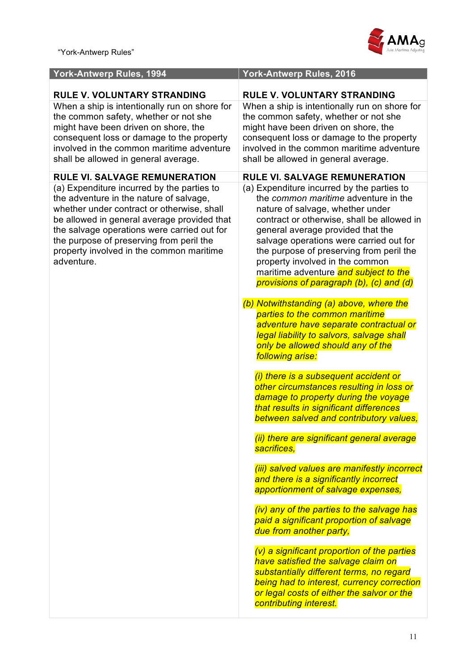

| <b>York-Antwerp Rules, 1994</b>                                                                                                                                                                                                                                                                                                         | York-Antwerp Rules, 2016                                                                                                                                                                                                                                                                                                                                                                                                                                                                                                                                                                                                                                                                                                                                                                                                                                                                                                                                                                                                                                                                                                                                                                                                                                                                                                                                                    |
|-----------------------------------------------------------------------------------------------------------------------------------------------------------------------------------------------------------------------------------------------------------------------------------------------------------------------------------------|-----------------------------------------------------------------------------------------------------------------------------------------------------------------------------------------------------------------------------------------------------------------------------------------------------------------------------------------------------------------------------------------------------------------------------------------------------------------------------------------------------------------------------------------------------------------------------------------------------------------------------------------------------------------------------------------------------------------------------------------------------------------------------------------------------------------------------------------------------------------------------------------------------------------------------------------------------------------------------------------------------------------------------------------------------------------------------------------------------------------------------------------------------------------------------------------------------------------------------------------------------------------------------------------------------------------------------------------------------------------------------|
| <b>RULE V. VOLUNTARY STRANDING</b>                                                                                                                                                                                                                                                                                                      | <b>RULE V. VOLUNTARY STRANDING</b>                                                                                                                                                                                                                                                                                                                                                                                                                                                                                                                                                                                                                                                                                                                                                                                                                                                                                                                                                                                                                                                                                                                                                                                                                                                                                                                                          |
| When a ship is intentionally run on shore for<br>the common safety, whether or not she<br>might have been driven on shore, the<br>consequent loss or damage to the property<br>involved in the common maritime adventure<br>shall be allowed in general average.                                                                        | When a ship is intentionally run on shore for<br>the common safety, whether or not she<br>might have been driven on shore, the<br>consequent loss or damage to the property<br>involved in the common maritime adventure<br>shall be allowed in general average.                                                                                                                                                                                                                                                                                                                                                                                                                                                                                                                                                                                                                                                                                                                                                                                                                                                                                                                                                                                                                                                                                                            |
| <b>RULE VI. SALVAGE REMUNERATION</b>                                                                                                                                                                                                                                                                                                    | <b>RULE VI. SALVAGE REMUNERATION</b>                                                                                                                                                                                                                                                                                                                                                                                                                                                                                                                                                                                                                                                                                                                                                                                                                                                                                                                                                                                                                                                                                                                                                                                                                                                                                                                                        |
| (a) Expenditure incurred by the parties to<br>the adventure in the nature of salvage,<br>whether under contract or otherwise, shall<br>be allowed in general average provided that<br>the salvage operations were carried out for<br>the purpose of preserving from peril the<br>property involved in the common maritime<br>adventure. | (a) Expenditure incurred by the parties to<br>the common maritime adventure in the<br>nature of salvage, whether under<br>contract or otherwise, shall be allowed in<br>general average provided that the<br>salvage operations were carried out for<br>the purpose of preserving from peril the<br>property involved in the common<br>maritime adventure and subject to the<br>provisions of paragraph (b), (c) and (d)<br>(b) Notwithstanding (a) above, where the<br>parties to the common maritime<br>adventure have separate contractual or<br>legal liability to salvors, salvage shall<br>only be allowed should any of the<br>following arise:<br>(i) there is a subsequent accident or<br>other circumstances resulting in loss or<br>damage to property during the voyage<br>that results in significant differences<br>between salved and contributory values,<br>(ii) there are significant general average<br>sacrifices,<br>(iii) salved values are manifestly incorrect<br>and there is a significantly incorrect<br>apportionment of salvage expenses,<br>(iv) any of the parties to the salvage has<br>paid a significant proportion of salvage<br>due from another party,<br>(v) a significant proportion of the parties<br>have satisfied the salvage claim on<br>substantially different terms, no regard<br>being had to interest, currency correction |
|                                                                                                                                                                                                                                                                                                                                         | or legal costs of either the salvor or the<br>contributing interest.                                                                                                                                                                                                                                                                                                                                                                                                                                                                                                                                                                                                                                                                                                                                                                                                                                                                                                                                                                                                                                                                                                                                                                                                                                                                                                        |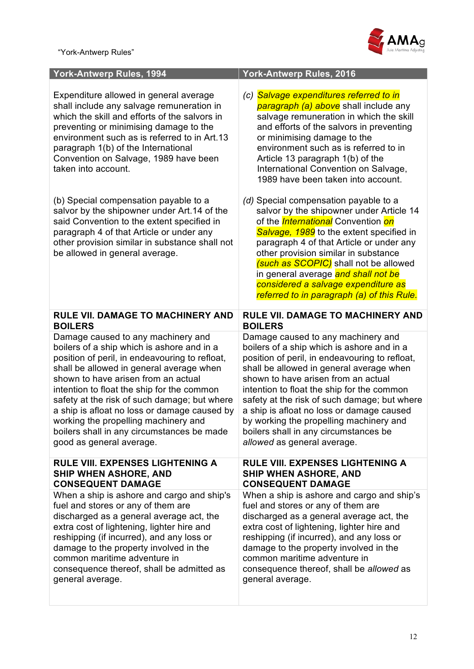

| York-Antwerp Rules, 1994                                                                                                                                                                                                                                                                                                              | <b>York-Antwerp Rules, 2016</b>                                                                                                                                                                                                                                                                                                                                                                                                     |
|---------------------------------------------------------------------------------------------------------------------------------------------------------------------------------------------------------------------------------------------------------------------------------------------------------------------------------------|-------------------------------------------------------------------------------------------------------------------------------------------------------------------------------------------------------------------------------------------------------------------------------------------------------------------------------------------------------------------------------------------------------------------------------------|
| Expenditure allowed in general average<br>shall include any salvage remuneration in<br>which the skill and efforts of the salvors in<br>preventing or minimising damage to the<br>environment such as is referred to in Art.13<br>paragraph 1(b) of the International<br>Convention on Salvage, 1989 have been<br>taken into account. | (c) Salvage expenditures referred to in<br>paragraph (a) above shall include any<br>salvage remuneration in which the skill<br>and efforts of the salvors in preventing<br>or minimising damage to the<br>environment such as is referred to in<br>Article 13 paragraph 1(b) of the<br>International Convention on Salvage,<br>1989 have been taken into account.                                                                   |
| (b) Special compensation payable to a<br>salvor by the shipowner under Art.14 of the<br>said Convention to the extent specified in<br>paragraph 4 of that Article or under any<br>other provision similar in substance shall not<br>be allowed in general average.                                                                    | (d) Special compensation payable to a<br>salvor by the shipowner under Article 14<br>of the <i>International</i> Convention on<br>Salvage, 1989 to the extent specified in<br>paragraph 4 of that Article or under any<br>other provision similar in substance<br>(such as SCOPIC) shall not be allowed<br>in general average and shall not be<br>considered a salvage expenditure as<br>referred to in paragraph (a) of this Rule. |
| <b>RULE VII. DAMAGE TO MACHINERY AND</b>                                                                                                                                                                                                                                                                                              | <b>RULE VII. DAMAGE TO MACHINERY AND</b>                                                                                                                                                                                                                                                                                                                                                                                            |
| <b>BOILERS</b>                                                                                                                                                                                                                                                                                                                        | <b>BOILERS</b>                                                                                                                                                                                                                                                                                                                                                                                                                      |
| Damage caused to any machinery and                                                                                                                                                                                                                                                                                                    | Damage caused to any machinery and                                                                                                                                                                                                                                                                                                                                                                                                  |
| boilers of a ship which is ashore and in a                                                                                                                                                                                                                                                                                            | boilers of a ship which is ashore and in a                                                                                                                                                                                                                                                                                                                                                                                          |
| position of peril, in endeavouring to refloat,                                                                                                                                                                                                                                                                                        | position of peril, in endeavouring to refloat,                                                                                                                                                                                                                                                                                                                                                                                      |
| shall be allowed in general average when                                                                                                                                                                                                                                                                                              | shall be allowed in general average when                                                                                                                                                                                                                                                                                                                                                                                            |
| shown to have arisen from an actual                                                                                                                                                                                                                                                                                                   | shown to have arisen from an actual                                                                                                                                                                                                                                                                                                                                                                                                 |
| intention to float the ship for the common                                                                                                                                                                                                                                                                                            | intention to float the ship for the common                                                                                                                                                                                                                                                                                                                                                                                          |
| safety at the risk of such damage; but where                                                                                                                                                                                                                                                                                          | safety at the risk of such damage; but where                                                                                                                                                                                                                                                                                                                                                                                        |
| a ship is afloat no loss or damage caused by                                                                                                                                                                                                                                                                                          | a ship is afloat no loss or damage caused                                                                                                                                                                                                                                                                                                                                                                                           |
| working the propelling machinery and                                                                                                                                                                                                                                                                                                  | by working the propelling machinery and                                                                                                                                                                                                                                                                                                                                                                                             |
| boilers shall in any circumstances be made                                                                                                                                                                                                                                                                                            | boilers shall in any circumstances be                                                                                                                                                                                                                                                                                                                                                                                               |
| good as general average.                                                                                                                                                                                                                                                                                                              | allowed as general average.                                                                                                                                                                                                                                                                                                                                                                                                         |
| <b>RULE VIII. EXPENSES LIGHTENING A</b>                                                                                                                                                                                                                                                                                               | <b>RULE VIII. EXPENSES LIGHTENING A</b>                                                                                                                                                                                                                                                                                                                                                                                             |
| <b>SHIP WHEN ASHORE, AND</b>                                                                                                                                                                                                                                                                                                          | <b>SHIP WHEN ASHORE, AND</b>                                                                                                                                                                                                                                                                                                                                                                                                        |
| <b>CONSEQUENT DAMAGE</b>                                                                                                                                                                                                                                                                                                              | <b>CONSEQUENT DAMAGE</b>                                                                                                                                                                                                                                                                                                                                                                                                            |
| When a ship is ashore and cargo and ship's                                                                                                                                                                                                                                                                                            | When a ship is ashore and cargo and ship's                                                                                                                                                                                                                                                                                                                                                                                          |
| fuel and stores or any of them are                                                                                                                                                                                                                                                                                                    | fuel and stores or any of them are                                                                                                                                                                                                                                                                                                                                                                                                  |
| discharged as a general average act, the                                                                                                                                                                                                                                                                                              | discharged as a general average act, the                                                                                                                                                                                                                                                                                                                                                                                            |
| extra cost of lightening, lighter hire and                                                                                                                                                                                                                                                                                            | extra cost of lightening, lighter hire and                                                                                                                                                                                                                                                                                                                                                                                          |
| reshipping (if incurred), and any loss or                                                                                                                                                                                                                                                                                             | reshipping (if incurred), and any loss or                                                                                                                                                                                                                                                                                                                                                                                           |
| damage to the property involved in the                                                                                                                                                                                                                                                                                                | damage to the property involved in the                                                                                                                                                                                                                                                                                                                                                                                              |
| common maritime adventure in                                                                                                                                                                                                                                                                                                          | common maritime adventure in                                                                                                                                                                                                                                                                                                                                                                                                        |
| consequence thereof, shall be admitted as                                                                                                                                                                                                                                                                                             | consequence thereof, shall be allowed as                                                                                                                                                                                                                                                                                                                                                                                            |
| general average.                                                                                                                                                                                                                                                                                                                      | general average.                                                                                                                                                                                                                                                                                                                                                                                                                    |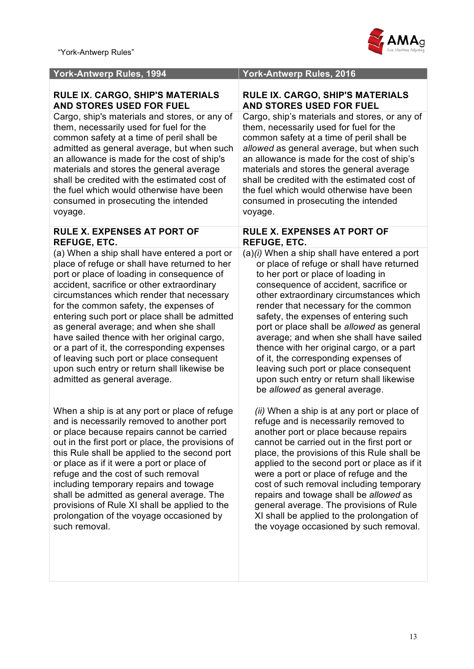

| <b>York-Antwerp Rules, 1994</b>                                                                                                                                                                                                                                                                                                                                                                                                                                                                                                                                                                      | <b>York-Antwerp Rules, 2016</b>                                                                                                                                                                                                                                                                                                                                                                                                                                                                                                                                                                          |
|------------------------------------------------------------------------------------------------------------------------------------------------------------------------------------------------------------------------------------------------------------------------------------------------------------------------------------------------------------------------------------------------------------------------------------------------------------------------------------------------------------------------------------------------------------------------------------------------------|----------------------------------------------------------------------------------------------------------------------------------------------------------------------------------------------------------------------------------------------------------------------------------------------------------------------------------------------------------------------------------------------------------------------------------------------------------------------------------------------------------------------------------------------------------------------------------------------------------|
| <b>RULE IX. CARGO, SHIP'S MATERIALS</b>                                                                                                                                                                                                                                                                                                                                                                                                                                                                                                                                                              | <b>RULE IX. CARGO, SHIP'S MATERIALS</b>                                                                                                                                                                                                                                                                                                                                                                                                                                                                                                                                                                  |
| <b>AND STORES USED FOR FUEL</b>                                                                                                                                                                                                                                                                                                                                                                                                                                                                                                                                                                      | <b>AND STORES USED FOR FUEL</b>                                                                                                                                                                                                                                                                                                                                                                                                                                                                                                                                                                          |
| Cargo, ship's materials and stores, or any of                                                                                                                                                                                                                                                                                                                                                                                                                                                                                                                                                        | Cargo, ship's materials and stores, or any of                                                                                                                                                                                                                                                                                                                                                                                                                                                                                                                                                            |
| them, necessarily used for fuel for the                                                                                                                                                                                                                                                                                                                                                                                                                                                                                                                                                              | them, necessarily used for fuel for the                                                                                                                                                                                                                                                                                                                                                                                                                                                                                                                                                                  |
| common safety at a time of peril shall be                                                                                                                                                                                                                                                                                                                                                                                                                                                                                                                                                            | common safety at a time of peril shall be                                                                                                                                                                                                                                                                                                                                                                                                                                                                                                                                                                |
| admitted as general average, but when such                                                                                                                                                                                                                                                                                                                                                                                                                                                                                                                                                           | allowed as general average, but when such                                                                                                                                                                                                                                                                                                                                                                                                                                                                                                                                                                |
| an allowance is made for the cost of ship's                                                                                                                                                                                                                                                                                                                                                                                                                                                                                                                                                          | an allowance is made for the cost of ship's                                                                                                                                                                                                                                                                                                                                                                                                                                                                                                                                                              |
| materials and stores the general average                                                                                                                                                                                                                                                                                                                                                                                                                                                                                                                                                             | materials and stores the general average                                                                                                                                                                                                                                                                                                                                                                                                                                                                                                                                                                 |
| shall be credited with the estimated cost of                                                                                                                                                                                                                                                                                                                                                                                                                                                                                                                                                         | shall be credited with the estimated cost of                                                                                                                                                                                                                                                                                                                                                                                                                                                                                                                                                             |
| the fuel which would otherwise have been                                                                                                                                                                                                                                                                                                                                                                                                                                                                                                                                                             | the fuel which would otherwise have been                                                                                                                                                                                                                                                                                                                                                                                                                                                                                                                                                                 |
| consumed in prosecuting the intended                                                                                                                                                                                                                                                                                                                                                                                                                                                                                                                                                                 | consumed in prosecuting the intended                                                                                                                                                                                                                                                                                                                                                                                                                                                                                                                                                                     |
| voyage.                                                                                                                                                                                                                                                                                                                                                                                                                                                                                                                                                                                              | voyage.                                                                                                                                                                                                                                                                                                                                                                                                                                                                                                                                                                                                  |
| <b>RULE X. EXPENSES AT PORT OF</b>                                                                                                                                                                                                                                                                                                                                                                                                                                                                                                                                                                   | <b>RULE X. EXPENSES AT PORT OF</b>                                                                                                                                                                                                                                                                                                                                                                                                                                                                                                                                                                       |
| <b>REFUGE, ETC.</b>                                                                                                                                                                                                                                                                                                                                                                                                                                                                                                                                                                                  | <b>REFUGE, ETC.</b>                                                                                                                                                                                                                                                                                                                                                                                                                                                                                                                                                                                      |
| (a) When a ship shall have entered a port or<br>place of refuge or shall have returned to her<br>port or place of loading in consequence of<br>accident, sacrifice or other extraordinary<br>circumstances which render that necessary<br>for the common safety, the expenses of<br>entering such port or place shall be admitted<br>as general average; and when she shall<br>have sailed thence with her original cargo,<br>or a part of it, the corresponding expenses<br>of leaving such port or place consequent<br>upon such entry or return shall likewise be<br>admitted as general average. | (a)(i) When a ship shall have entered a port<br>or place of refuge or shall have returned<br>to her port or place of loading in<br>consequence of accident, sacrifice or<br>other extraordinary circumstances which<br>render that necessary for the common<br>safety, the expenses of entering such<br>port or place shall be allowed as general<br>average; and when she shall have sailed<br>thence with her original cargo, or a part<br>of it, the corresponding expenses of<br>leaving such port or place consequent<br>upon such entry or return shall likewise<br>be allowed as general average. |
| When a ship is at any port or place of refuge                                                                                                                                                                                                                                                                                                                                                                                                                                                                                                                                                        | (ii) When a ship is at any port or place of                                                                                                                                                                                                                                                                                                                                                                                                                                                                                                                                                              |
| and is necessarily removed to another port                                                                                                                                                                                                                                                                                                                                                                                                                                                                                                                                                           | refuge and is necessarily removed to                                                                                                                                                                                                                                                                                                                                                                                                                                                                                                                                                                     |
| or place because repairs cannot be carried                                                                                                                                                                                                                                                                                                                                                                                                                                                                                                                                                           | another port or place because repairs                                                                                                                                                                                                                                                                                                                                                                                                                                                                                                                                                                    |
| out in the first port or place, the provisions of                                                                                                                                                                                                                                                                                                                                                                                                                                                                                                                                                    | cannot be carried out in the first port or                                                                                                                                                                                                                                                                                                                                                                                                                                                                                                                                                               |
| this Rule shall be applied to the second port                                                                                                                                                                                                                                                                                                                                                                                                                                                                                                                                                        | place, the provisions of this Rule shall be                                                                                                                                                                                                                                                                                                                                                                                                                                                                                                                                                              |
| or place as if it were a port or place of                                                                                                                                                                                                                                                                                                                                                                                                                                                                                                                                                            | applied to the second port or place as if it                                                                                                                                                                                                                                                                                                                                                                                                                                                                                                                                                             |
| refuge and the cost of such removal                                                                                                                                                                                                                                                                                                                                                                                                                                                                                                                                                                  | were a port or place of refuge and the                                                                                                                                                                                                                                                                                                                                                                                                                                                                                                                                                                   |
| including temporary repairs and towage                                                                                                                                                                                                                                                                                                                                                                                                                                                                                                                                                               | cost of such removal including temporary                                                                                                                                                                                                                                                                                                                                                                                                                                                                                                                                                                 |
| shall be admitted as general average. The                                                                                                                                                                                                                                                                                                                                                                                                                                                                                                                                                            | repairs and towage shall be allowed as                                                                                                                                                                                                                                                                                                                                                                                                                                                                                                                                                                   |
| provisions of Rule XI shall be applied to the                                                                                                                                                                                                                                                                                                                                                                                                                                                                                                                                                        | general average. The provisions of Rule                                                                                                                                                                                                                                                                                                                                                                                                                                                                                                                                                                  |
| prolongation of the voyage occasioned by                                                                                                                                                                                                                                                                                                                                                                                                                                                                                                                                                             | XI shall be applied to the prolongation of                                                                                                                                                                                                                                                                                                                                                                                                                                                                                                                                                               |
| such removal.                                                                                                                                                                                                                                                                                                                                                                                                                                                                                                                                                                                        | the voyage occasioned by such removal.                                                                                                                                                                                                                                                                                                                                                                                                                                                                                                                                                                   |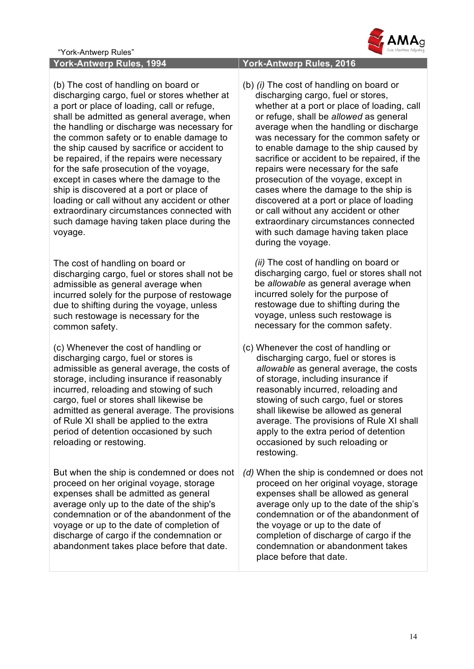

#### **York-Antwerp Rules, 1994 York-Antwerp Rules, 2016**

(b) The cost of handling on board or discharging cargo, fuel or stores whether at a port or place of loading, call or refuge, shall be admitted as general average, when the handling or discharge was necessary for the common safety or to enable damage to the ship caused by sacrifice or accident to be repaired, if the repairs were necessary for the safe prosecution of the voyage, except in cases where the damage to the ship is discovered at a port or place of loading or call without any accident or other extraordinary circumstances connected with such damage having taken place during the voyage.

The cost of handling on board or discharging cargo, fuel or stores shall not be admissible as general average when incurred solely for the purpose of restowage due to shifting during the voyage, unless such restowage is necessary for the common safety.

(c) Whenever the cost of handling or discharging cargo, fuel or stores is admissible as general average, the costs of storage, including insurance if reasonably incurred, reloading and stowing of such cargo, fuel or stores shall likewise be admitted as general average. The provisions of Rule XI shall be applied to the extra period of detention occasioned by such reloading or restowing.

But when the ship is condemned or does not proceed on her original voyage, storage expenses shall be admitted as general average only up to the date of the ship's condemnation or of the abandonment of the voyage or up to the date of completion of discharge of cargo if the condemnation or abandonment takes place before that date.

(b) *(i)* The cost of handling on board or discharging cargo, fuel or stores, whether at a port or place of loading, call or refuge, shall be *allowed* as general average when the handling or discharge was necessary for the common safety or to enable damage to the ship caused by sacrifice or accident to be repaired, if the repairs were necessary for the safe prosecution of the voyage, except in cases where the damage to the ship is discovered at a port or place of loading or call without any accident or other extraordinary circumstances connected with such damage having taken place during the voyage.

*(ii)* The cost of handling on board or discharging cargo, fuel or stores shall not be *allowable* as general average when incurred solely for the purpose of restowage due to shifting during the voyage, unless such restowage is necessary for the common safety.

- (c) Whenever the cost of handling or discharging cargo, fuel or stores is *allowable* as general average, the costs of storage, including insurance if reasonably incurred, reloading and stowing of such cargo, fuel or stores shall likewise be allowed as general average. The provisions of Rule XI shall apply to the extra period of detention occasioned by such reloading or restowing.
- *(d)* When the ship is condemned or does not proceed on her original voyage, storage expenses shall be allowed as general average only up to the date of the ship's condemnation or of the abandonment of the voyage or up to the date of completion of discharge of cargo if the condemnation or abandonment takes place before that date.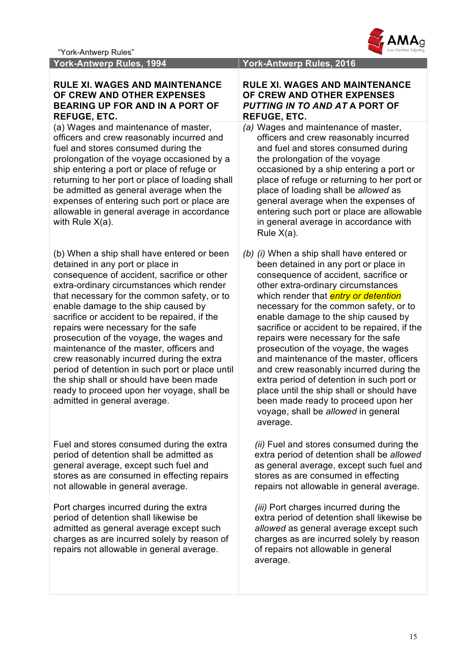

### **RULE XI. WAGES AND MAINTENANCE OF CREW AND OTHER EXPENSES BEARING UP FOR AND IN A PORT OF REFUGE, ETC.**

(a) Wages and maintenance of master, officers and crew reasonably incurred and fuel and stores consumed during the prolongation of the voyage occasioned by a ship entering a port or place of refuge or returning to her port or place of loading shall be admitted as general average when the expenses of entering such port or place are allowable in general average in accordance with Rule X(a).

(b) When a ship shall have entered or been detained in any port or place in consequence of accident, sacrifice or other extra-ordinary circumstances which render that necessary for the common safety, or to enable damage to the ship caused by sacrifice or accident to be repaired, if the repairs were necessary for the safe prosecution of the voyage, the wages and maintenance of the master, officers and crew reasonably incurred during the extra period of detention in such port or place until the ship shall or should have been made ready to proceed upon her voyage, shall be admitted in general average.

Fuel and stores consumed during the extra period of detention shall be admitted as general average, except such fuel and stores as are consumed in effecting repairs not allowable in general average.

Port charges incurred during the extra period of detention shall likewise be admitted as general average except such charges as are incurred solely by reason of repairs not allowable in general average.

#### **York-Antwerp Rules, 1994 York-Antwerp Rules, 2016**

### **RULE XI. WAGES AND MAINTENANCE OF CREW AND OTHER EXPENSES**  *PUTTING IN TO AND AT* **A PORT OF REFUGE, ETC.**

- *(a)* Wages and maintenance of master, officers and crew reasonably incurred and fuel and stores consumed during the prolongation of the voyage occasioned by a ship entering a port or place of refuge or returning to her port or place of loading shall be *allowed* as general average when the expenses of entering such port or place are allowable in general average in accordance with Rule X(a).
- *(b) (i)* When a ship shall have entered or been detained in any port or place in consequence of accident, sacrifice or other extra-ordinary circumstances which render that *entry or detention* necessary for the common safety, or to enable damage to the ship caused by sacrifice or accident to be repaired, if the repairs were necessary for the safe prosecution of the voyage, the wages and maintenance of the master, officers and crew reasonably incurred during the extra period of detention in such port or place until the ship shall or should have been made ready to proceed upon her voyage, shall be *allowed* in general average.

*(ii)* Fuel and stores consumed during the extra period of detention shall be *allowed* as general average, except such fuel and stores as are consumed in effecting repairs not allowable in general average.

*(iii)* Port charges incurred during the extra period of detention shall likewise be *allowed* as general average except such charges as are incurred solely by reason of repairs not allowable in general average.

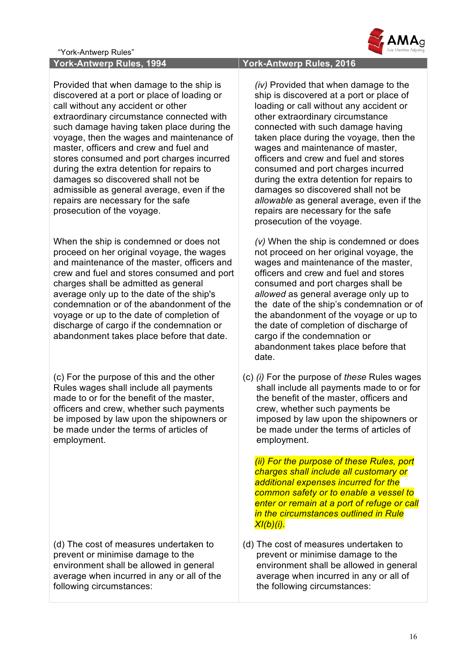## **York-Antwerp Rules, 1994 York-Antwerp Rules, 2016**

Provided that when damage to the ship is discovered at a port or place of loading or call without any accident or other extraordinary circumstance connected with such damage having taken place during the voyage, then the wages and maintenance of master, officers and crew and fuel and stores consumed and port charges incurred during the extra detention for repairs to damages so discovered shall not be admissible as general average, even if the repairs are necessary for the safe prosecution of the voyage.

When the ship is condemned or does not proceed on her original voyage, the wages and maintenance of the master, officers and crew and fuel and stores consumed and port charges shall be admitted as general average only up to the date of the ship's condemnation or of the abandonment of the voyage or up to the date of completion of discharge of cargo if the condemnation or abandonment takes place before that date.

(c) For the purpose of this and the other Rules wages shall include all payments made to or for the benefit of the master, officers and crew, whether such payments be imposed by law upon the shipowners or be made under the terms of articles of employment.

(d) The cost of measures undertaken to prevent or minimise damage to the environment shall be allowed in general average when incurred in any or all of the following circumstances:

*(iv)* Provided that when damage to the ship is discovered at a port or place of loading or call without any accident or other extraordinary circumstance connected with such damage having taken place during the voyage, then the wages and maintenance of master, officers and crew and fuel and stores consumed and port charges incurred during the extra detention for repairs to damages so discovered shall not be *allowable* as general average, even if the repairs are necessary for the safe prosecution of the voyage.

*(v)* When the ship is condemned or does not proceed on her original voyage, the wages and maintenance of the master, officers and crew and fuel and stores consumed and port charges shall be *allowed* as general average only up to the date of the ship's condemnation or of the abandonment of the voyage or up to the date of completion of discharge of cargo if the condemnation or abandonment takes place before that date.

(c) *(i)* For the purpose of *these* Rules wages shall include all payments made to or for the benefit of the master, officers and crew, whether such payments be imposed by law upon the shipowners or be made under the terms of articles of employment.

*(ii) For the purpose of these Rules, port charges shall include all customary or additional expenses incurred for the common safety or to enable a vessel to enter or remain at a port of refuge or call in the circumstances outlined in Rule XI(b)(i).*

(d) The cost of measures undertaken to prevent or minimise damage to the environment shall be allowed in general average when incurred in any or all of the following circumstances:

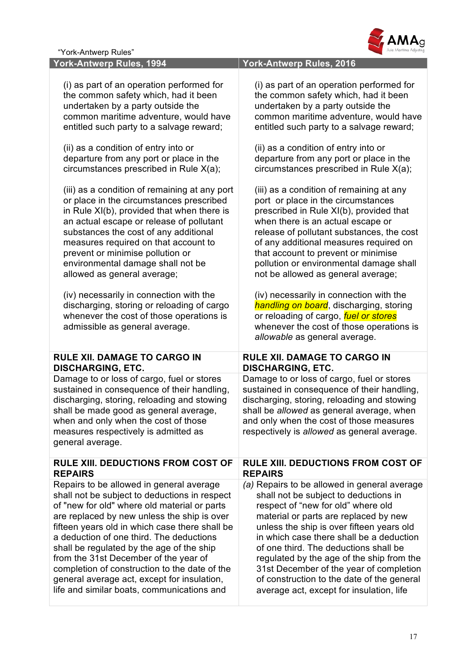

| "York-Antwerp Rules" |  |
|----------------------|--|
|----------------------|--|

#### **York-Antwerp Rules, 1994 York-Antwerp Rules, 2016**

(i) as part of an operation performed for the common safety which, had it been undertaken by a party outside the common maritime adventure, would have entitled such party to a salvage reward;

(ii) as a condition of entry into or departure from any port or place in the circumstances prescribed in Rule X(a);

(iii) as a condition of remaining at any port or place in the circumstances prescribed in Rule XI(b), provided that when there is an actual escape or release of pollutant substances the cost of any additional measures required on that account to prevent or minimise pollution or environmental damage shall not be allowed as general average;

(iv) necessarily in connection with the discharging, storing or reloading of cargo whenever the cost of those operations is admissible as general average.

#### **RULE XII. DAMAGE TO CARGO IN DISCHARGING, ETC.**

Damage to or loss of cargo, fuel or stores sustained in consequence of their handling, discharging, storing, reloading and stowing shall be made good as general average, when and only when the cost of those measures respectively is admitted as general average.

#### **RULE XIII. DEDUCTIONS FROM COST OF REPAIRS REPAIRS**

Repairs to be allowed in general average shall not be subject to deductions in respect of "new for old" where old material or parts are replaced by new unless the ship is over fifteen years old in which case there shall be a deduction of one third. The deductions shall be regulated by the age of the ship from the 31st December of the year of completion of construction to the date of the general average act, except for insulation, life and similar boats, communications and

(i) as part of an operation performed for the common safety which, had it been undertaken by a party outside the common maritime adventure, would have entitled such party to a salvage reward;

(ii) as a condition of entry into or departure from any port or place in the circumstances prescribed in Rule X(a);

(iii) as a condition of remaining at any port or place in the circumstances prescribed in Rule XI(b), provided that when there is an actual escape or release of pollutant substances, the cost of any additional measures required on that account to prevent or minimise pollution or environmental damage shall not be allowed as general average;

(iv) necessarily in connection with the *handling on board*, discharging, storing or reloading of cargo, *fuel or stores* whenever the cost of those operations is *allowable* as general average.

## **RULE XII. DAMAGE TO CARGO IN DISCHARGING, ETC.**

Damage to or loss of cargo, fuel or stores sustained in consequence of their handling, discharging, storing, reloading and stowing shall be *allowed* as general average, when and only when the cost of those measures respectively is *allowed* as general average.

**RULE XIII. DEDUCTIONS FROM COST OF** 

*(a)* Repairs to be allowed in general average shall not be subject to deductions in respect of "new for old" where old material or parts are replaced by new unless the ship is over fifteen years old in which case there shall be a deduction of one third. The deductions shall be regulated by the age of the ship from the 31st December of the year of completion of construction to the date of the general average act, except for insulation, life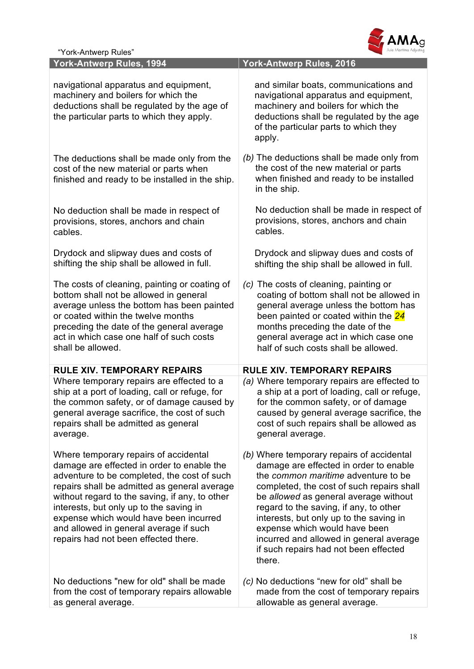| "York-Antwerp Rules"                                                                                                                                                                                                                                                                                                                                                                                        |                                                                                                                                                                                                                                                                                                                                                                                                                                      |
|-------------------------------------------------------------------------------------------------------------------------------------------------------------------------------------------------------------------------------------------------------------------------------------------------------------------------------------------------------------------------------------------------------------|--------------------------------------------------------------------------------------------------------------------------------------------------------------------------------------------------------------------------------------------------------------------------------------------------------------------------------------------------------------------------------------------------------------------------------------|
| <b>York-Antwerp Rules, 1994</b>                                                                                                                                                                                                                                                                                                                                                                             | York-Antwerp Rules, 2016                                                                                                                                                                                                                                                                                                                                                                                                             |
| navigational apparatus and equipment,<br>machinery and boilers for which the<br>deductions shall be regulated by the age of<br>the particular parts to which they apply.                                                                                                                                                                                                                                    | and similar boats, communications and<br>navigational apparatus and equipment,<br>machinery and boilers for which the<br>deductions shall be regulated by the age<br>of the particular parts to which they<br>apply.                                                                                                                                                                                                                 |
| The deductions shall be made only from the<br>cost of the new material or parts when<br>finished and ready to be installed in the ship.                                                                                                                                                                                                                                                                     | (b) The deductions shall be made only from<br>the cost of the new material or parts<br>when finished and ready to be installed<br>in the ship.                                                                                                                                                                                                                                                                                       |
| No deduction shall be made in respect of<br>provisions, stores, anchors and chain<br>cables.                                                                                                                                                                                                                                                                                                                | No deduction shall be made in respect of<br>provisions, stores, anchors and chain<br>cables.                                                                                                                                                                                                                                                                                                                                         |
| Drydock and slipway dues and costs of<br>shifting the ship shall be allowed in full.                                                                                                                                                                                                                                                                                                                        | Drydock and slipway dues and costs of<br>shifting the ship shall be allowed in full.                                                                                                                                                                                                                                                                                                                                                 |
| The costs of cleaning, painting or coating of<br>bottom shall not be allowed in general<br>average unless the bottom has been painted<br>or coated within the twelve months<br>preceding the date of the general average<br>act in which case one half of such costs<br>shall be allowed.                                                                                                                   | (c) The costs of cleaning, painting or<br>coating of bottom shall not be allowed in<br>general average unless the bottom has<br>been painted or coated within the 24<br>months preceding the date of the<br>general average act in which case one<br>half of such costs shall be allowed.                                                                                                                                            |
| <b>RULE XIV. TEMPORARY REPAIRS</b>                                                                                                                                                                                                                                                                                                                                                                          | <b>RULE XIV. TEMPORARY REPAIRS</b>                                                                                                                                                                                                                                                                                                                                                                                                   |
| Where temporary repairs are effected to a<br>ship at a port of loading, call or refuge, for<br>the common safety, or of damage caused by<br>general average sacrifice, the cost of such<br>repairs shall be admitted as general<br>average.                                                                                                                                                                 | (a) Where temporary repairs are effected to<br>a ship at a port of loading, call or refuge,<br>for the common safety, or of damage<br>caused by general average sacrifice, the<br>cost of such repairs shall be allowed as<br>general average.                                                                                                                                                                                       |
| Where temporary repairs of accidental<br>damage are effected in order to enable the<br>adventure to be completed, the cost of such<br>repairs shall be admitted as general average<br>without regard to the saving, if any, to other<br>interests, but only up to the saving in<br>expense which would have been incurred<br>and allowed in general average if such<br>repairs had not been effected there. | (b) Where temporary repairs of accidental<br>damage are effected in order to enable<br>the common maritime adventure to be<br>completed, the cost of such repairs shall<br>be allowed as general average without<br>regard to the saving, if any, to other<br>interests, but only up to the saving in<br>expense which would have been<br>incurred and allowed in general average<br>if such repairs had not been effected<br>there. |
| No deductions "new for old" shall be made<br>from the cost of temporary repairs allowable<br>as general average.                                                                                                                                                                                                                                                                                            | (c) No deductions "new for old" shall be<br>made from the cost of temporary repairs<br>allowable as general average.                                                                                                                                                                                                                                                                                                                 |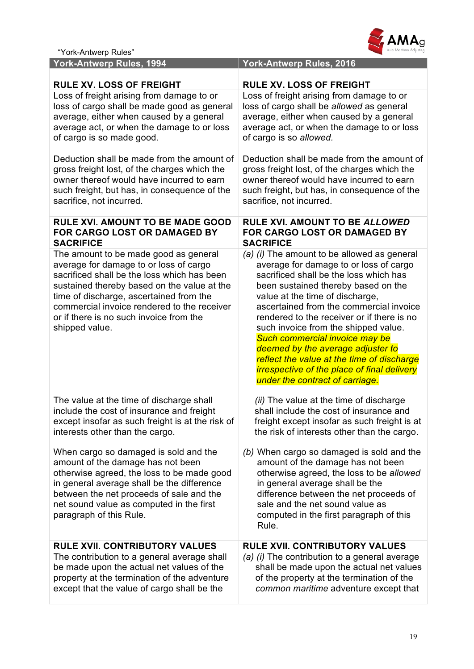

| "York-Antwerp Rules" |  |
|----------------------|--|
|----------------------|--|

| <b>York-Antwerp Rules, 1994</b>                                                                                                                                                                                                                                                                                                      | <b>York-Antwerp Rules, 2016</b>                                                                                                                                                                                                                                                                                                                                                                                                                                                                                                                          |
|--------------------------------------------------------------------------------------------------------------------------------------------------------------------------------------------------------------------------------------------------------------------------------------------------------------------------------------|----------------------------------------------------------------------------------------------------------------------------------------------------------------------------------------------------------------------------------------------------------------------------------------------------------------------------------------------------------------------------------------------------------------------------------------------------------------------------------------------------------------------------------------------------------|
| <b>RULE XV. LOSS OF FREIGHT</b>                                                                                                                                                                                                                                                                                                      | <b>RULE XV. LOSS OF FREIGHT</b>                                                                                                                                                                                                                                                                                                                                                                                                                                                                                                                          |
| Loss of freight arising from damage to or                                                                                                                                                                                                                                                                                            | Loss of freight arising from damage to or                                                                                                                                                                                                                                                                                                                                                                                                                                                                                                                |
| loss of cargo shall be made good as general                                                                                                                                                                                                                                                                                          | loss of cargo shall be allowed as general                                                                                                                                                                                                                                                                                                                                                                                                                                                                                                                |
| average, either when caused by a general                                                                                                                                                                                                                                                                                             | average, either when caused by a general                                                                                                                                                                                                                                                                                                                                                                                                                                                                                                                 |
| average act, or when the damage to or loss                                                                                                                                                                                                                                                                                           | average act, or when the damage to or loss                                                                                                                                                                                                                                                                                                                                                                                                                                                                                                               |
| of cargo is so made good.                                                                                                                                                                                                                                                                                                            | of cargo is so allowed.                                                                                                                                                                                                                                                                                                                                                                                                                                                                                                                                  |
| Deduction shall be made from the amount of                                                                                                                                                                                                                                                                                           | Deduction shall be made from the amount of                                                                                                                                                                                                                                                                                                                                                                                                                                                                                                               |
| gross freight lost, of the charges which the                                                                                                                                                                                                                                                                                         | gross freight lost, of the charges which the                                                                                                                                                                                                                                                                                                                                                                                                                                                                                                             |
| owner thereof would have incurred to earn                                                                                                                                                                                                                                                                                            | owner thereof would have incurred to earn                                                                                                                                                                                                                                                                                                                                                                                                                                                                                                                |
| such freight, but has, in consequence of the                                                                                                                                                                                                                                                                                         | such freight, but has, in consequence of the                                                                                                                                                                                                                                                                                                                                                                                                                                                                                                             |
| sacrifice, not incurred.                                                                                                                                                                                                                                                                                                             | sacrifice, not incurred.                                                                                                                                                                                                                                                                                                                                                                                                                                                                                                                                 |
| <b>RULE XVI. AMOUNT TO BE MADE GOOD</b>                                                                                                                                                                                                                                                                                              | <b>RULE XVI. AMOUNT TO BE ALLOWED</b>                                                                                                                                                                                                                                                                                                                                                                                                                                                                                                                    |
| <b>FOR CARGO LOST OR DAMAGED BY</b>                                                                                                                                                                                                                                                                                                  | FOR CARGO LOST OR DAMAGED BY                                                                                                                                                                                                                                                                                                                                                                                                                                                                                                                             |
| <b>SACRIFICE</b>                                                                                                                                                                                                                                                                                                                     | <b>SACRIFICE</b>                                                                                                                                                                                                                                                                                                                                                                                                                                                                                                                                         |
| The amount to be made good as general<br>average for damage to or loss of cargo<br>sacrificed shall be the loss which has been<br>sustained thereby based on the value at the<br>time of discharge, ascertained from the<br>commercial invoice rendered to the receiver<br>or if there is no such invoice from the<br>shipped value. | (a) (i) The amount to be allowed as general<br>average for damage to or loss of cargo<br>sacrificed shall be the loss which has<br>been sustained thereby based on the<br>value at the time of discharge,<br>ascertained from the commercial invoice<br>rendered to the receiver or if there is no<br>such invoice from the shipped value.<br>Such commercial invoice may be<br>deemed by the average adjuster to<br>reflect the value at the time of discharge<br><i>irrespective of the place of final delivery</i><br>under the contract of carriage. |
| The value at the time of discharge shall                                                                                                                                                                                                                                                                                             | (ii) The value at the time of discharge                                                                                                                                                                                                                                                                                                                                                                                                                                                                                                                  |
| include the cost of insurance and freight                                                                                                                                                                                                                                                                                            | shall include the cost of insurance and                                                                                                                                                                                                                                                                                                                                                                                                                                                                                                                  |
| except insofar as such freight is at the risk of                                                                                                                                                                                                                                                                                     | freight except insofar as such freight is at                                                                                                                                                                                                                                                                                                                                                                                                                                                                                                             |
| interests other than the cargo.                                                                                                                                                                                                                                                                                                      | the risk of interests other than the cargo.                                                                                                                                                                                                                                                                                                                                                                                                                                                                                                              |
| When cargo so damaged is sold and the<br>amount of the damage has not been<br>otherwise agreed, the loss to be made good<br>in general average shall be the difference<br>between the net proceeds of sale and the<br>net sound value as computed in the first<br>paragraph of this Rule.                                            | (b) When cargo so damaged is sold and the<br>amount of the damage has not been<br>otherwise agreed, the loss to be allowed<br>in general average shall be the<br>difference between the net proceeds of<br>sale and the net sound value as<br>computed in the first paragraph of this<br>Rule.                                                                                                                                                                                                                                                           |
| <b>RULE XVII. CONTRIBUTORY VALUES</b>                                                                                                                                                                                                                                                                                                | <b>RULE XVII. CONTRIBUTORY VALUES</b>                                                                                                                                                                                                                                                                                                                                                                                                                                                                                                                    |
| The contribution to a general average shall                                                                                                                                                                                                                                                                                          | (a) (i) The contribution to a general average                                                                                                                                                                                                                                                                                                                                                                                                                                                                                                            |
| be made upon the actual net values of the                                                                                                                                                                                                                                                                                            | shall be made upon the actual net values                                                                                                                                                                                                                                                                                                                                                                                                                                                                                                                 |
| property at the termination of the adventure                                                                                                                                                                                                                                                                                         | of the property at the termination of the                                                                                                                                                                                                                                                                                                                                                                                                                                                                                                                |
| except that the value of cargo shall be the                                                                                                                                                                                                                                                                                          | common maritime adventure except that                                                                                                                                                                                                                                                                                                                                                                                                                                                                                                                    |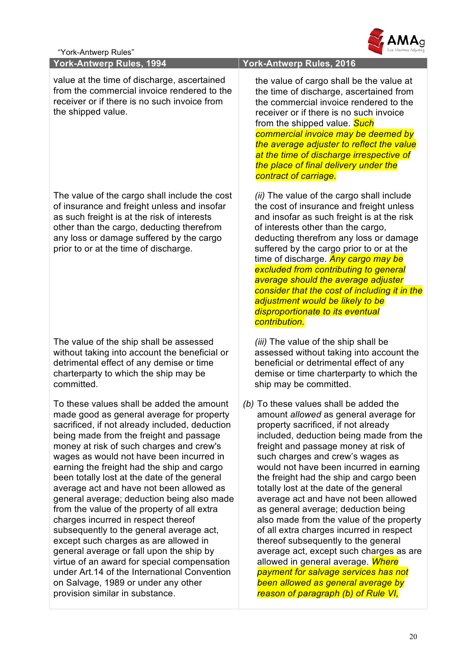

| "York-Antwerp Rules" |
|----------------------|
|----------------------|

#### **York-Antwerp Rules, 1994 York-Antwerp Rules, 2016**

value at the time of discharge, ascertained from the commercial invoice rendered to the receiver or if there is no such invoice from the shipped value.

The value of the cargo shall include the cost of insurance and freight unless and insofar as such freight is at the risk of interests other than the cargo, deducting therefrom any loss or damage suffered by the cargo prior to or at the time of discharge.

The value of the ship shall be assessed without taking into account the beneficial or detrimental effect of any demise or time charterparty to which the ship may be committed.

To these values shall be added the amount made good as general average for property sacrificed, if not already included, deduction being made from the freight and passage money at risk of such charges and crew's wages as would not have been incurred in earning the freight had the ship and cargo been totally lost at the date of the general average act and have not been allowed as general average; deduction being also made from the value of the property of all extra charges incurred in respect thereof subsequently to the general average act, except such charges as are allowed in general average or fall upon the ship by virtue of an award for special compensation under Art.14 of the International Convention on Salvage, 1989 or under any other provision similar in substance.

the value of cargo shall be the value at the time of discharge, ascertained from the commercial invoice rendered to the receiver or if there is no such invoice from the shipped value. *Such commercial invoice may be deemed by the average adjuster to reflect the value at the time of discharge irrespective of the place of final delivery under the contract of carriage.*

*(ii)* The value of the cargo shall include the cost of insurance and freight unless and insofar as such freight is at the risk of interests other than the cargo, deducting therefrom any loss or damage suffered by the cargo prior to or at the time of discharge. *Any cargo may be excluded from contributing to general average should the average adjuster consider that the cost of including it in the adjustment would be likely to be disproportionate to its eventual contribution.*

*(iii)* The value of the ship shall be assessed without taking into account the beneficial or detrimental effect of any demise or time charterparty to which the ship may be committed.

*(b)* To these values shall be added the amount *allowed* as general average for property sacrificed, if not already included, deduction being made from the freight and passage money at risk of such charges and crew's wages as would not have been incurred in earning the freight had the ship and cargo been totally lost at the date of the general average act and have not been allowed as general average; deduction being also made from the value of the property of all extra charges incurred in respect thereof subsequently to the general average act, except such charges as are allowed in general average. *Where payment for salvage services has not been allowed as general average by reason of paragraph (b) of Rule VI,*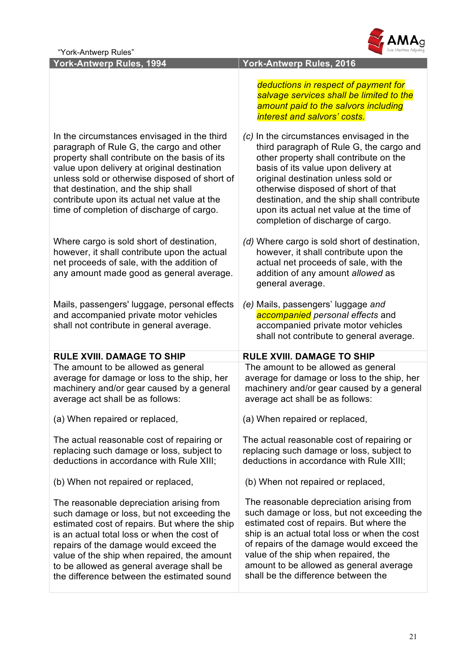

| <b>York-Antwerp Rules, 1994</b>                                                                                                                                                                                                                                                                                                                                              | <b>York-Antwerp Rules, 2016</b>                                                                                                                                                                                                                                                                                                                                                     |
|------------------------------------------------------------------------------------------------------------------------------------------------------------------------------------------------------------------------------------------------------------------------------------------------------------------------------------------------------------------------------|-------------------------------------------------------------------------------------------------------------------------------------------------------------------------------------------------------------------------------------------------------------------------------------------------------------------------------------------------------------------------------------|
|                                                                                                                                                                                                                                                                                                                                                                              | deductions in respect of payment for<br>salvage services shall be limited to the<br>amount paid to the salvors including<br>interest and salvors' costs.                                                                                                                                                                                                                            |
| In the circumstances envisaged in the third<br>paragraph of Rule G, the cargo and other<br>property shall contribute on the basis of its<br>value upon delivery at original destination<br>unless sold or otherwise disposed of short of<br>that destination, and the ship shall<br>contribute upon its actual net value at the<br>time of completion of discharge of cargo. | (c) In the circumstances envisaged in the<br>third paragraph of Rule G, the cargo and<br>other property shall contribute on the<br>basis of its value upon delivery at<br>original destination unless sold or<br>otherwise disposed of short of that<br>destination, and the ship shall contribute<br>upon its actual net value at the time of<br>completion of discharge of cargo. |
| Where cargo is sold short of destination,<br>however, it shall contribute upon the actual<br>net proceeds of sale, with the addition of<br>any amount made good as general average.                                                                                                                                                                                          | (d) Where cargo is sold short of destination,<br>however, it shall contribute upon the<br>actual net proceeds of sale, with the<br>addition of any amount allowed as<br>general average.                                                                                                                                                                                            |
| Mails, passengers' luggage, personal effects<br>and accompanied private motor vehicles<br>shall not contribute in general average.                                                                                                                                                                                                                                           | (e) Mails, passengers' luggage and<br>accompanied personal effects and<br>accompanied private motor vehicles<br>shall not contribute to general average.                                                                                                                                                                                                                            |
| <b>RULE XVIII. DAMAGE TO SHIP</b>                                                                                                                                                                                                                                                                                                                                            | <b>RULE XVIII. DAMAGE TO SHIP</b>                                                                                                                                                                                                                                                                                                                                                   |
| The amount to be allowed as general<br>average for damage or loss to the ship, her<br>machinery and/or gear caused by a general<br>average act shall be as follows:                                                                                                                                                                                                          | The amount to be allowed as general<br>average for damage or loss to the ship, her<br>machinery and/or gear caused by a general<br>average act shall be as follows:                                                                                                                                                                                                                 |
| (a) When repaired or replaced,                                                                                                                                                                                                                                                                                                                                               | (a) When repaired or replaced,                                                                                                                                                                                                                                                                                                                                                      |
| The actual reasonable cost of repairing or<br>replacing such damage or loss, subject to<br>deductions in accordance with Rule XIII;                                                                                                                                                                                                                                          | The actual reasonable cost of repairing or<br>replacing such damage or loss, subject to<br>deductions in accordance with Rule XIII;                                                                                                                                                                                                                                                 |
| (b) When not repaired or replaced,                                                                                                                                                                                                                                                                                                                                           | (b) When not repaired or replaced,                                                                                                                                                                                                                                                                                                                                                  |
| The reasonable depreciation arising from<br>such damage or loss, but not exceeding the<br>estimated cost of repairs. But where the ship<br>is an actual total loss or when the cost of<br>repairs of the damage would exceed the<br>value of the ship when repaired, the amount<br>to be allowed as general average shall be<br>the difference between the estimated sound   | The reasonable depreciation arising from<br>such damage or loss, but not exceeding the<br>estimated cost of repairs. But where the<br>ship is an actual total loss or when the cost<br>of repairs of the damage would exceed the<br>value of the ship when repaired, the<br>amount to be allowed as general average<br>shall be the difference between the                          |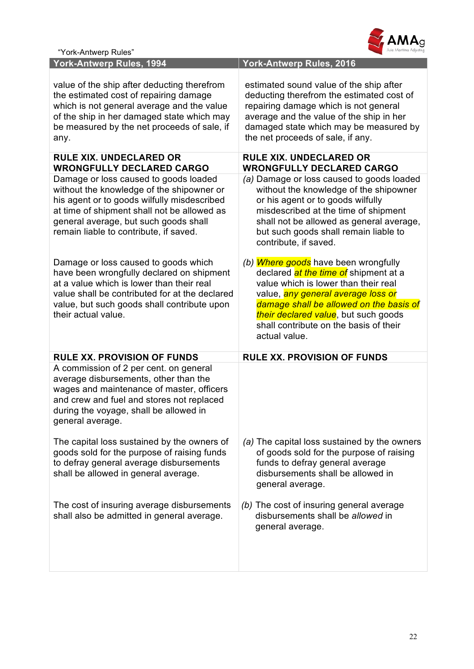

| Asia Maritime Adjusting                                                                                                                                                                                                                                                                                   |
|-----------------------------------------------------------------------------------------------------------------------------------------------------------------------------------------------------------------------------------------------------------------------------------------------------------|
| <b>York-Antwerp Rules, 2016</b>                                                                                                                                                                                                                                                                           |
| estimated sound value of the ship after<br>deducting therefrom the estimated cost of<br>repairing damage which is not general<br>average and the value of the ship in her<br>damaged state which may be measured by<br>the net proceeds of sale, if any.                                                  |
| <b>RULE XIX. UNDECLARED OR</b><br><b>WRONGFULLY DECLARED CARGO</b>                                                                                                                                                                                                                                        |
| (a) Damage or loss caused to goods loaded<br>without the knowledge of the shipowner<br>or his agent or to goods wilfully<br>misdescribed at the time of shipment<br>shall not be allowed as general average,<br>but such goods shall remain liable to<br>contribute, if saved.                            |
| (b) Where goods have been wrongfully<br>declared at the time of shipment at a<br>value which is lower than their real<br>value, any general average loss or<br>damage shall be allowed on the basis of<br>their declared value, but such goods<br>shall contribute on the basis of their<br>actual value. |
| <b>RULE XX. PROVISION OF FUNDS</b>                                                                                                                                                                                                                                                                        |
|                                                                                                                                                                                                                                                                                                           |
| (a) The capital loss sustained by the owners<br>of goods sold for the purpose of raising<br>funds to defray general average<br>disbursements shall be allowed in<br>general average.                                                                                                                      |
| (b) The cost of insuring general average<br>disbursements shall be allowed in<br>general average.                                                                                                                                                                                                         |
|                                                                                                                                                                                                                                                                                                           |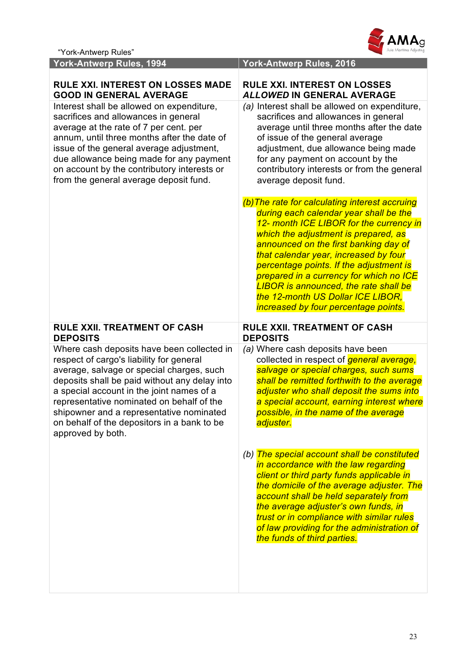

| York-Antwerp Rules, 1994                                                                                                                                                                                                                                                                                                                                                                       | <b>York-Antwerp Rules, 2016</b>                                                                                                                                                                                                                                                                                                                                                                                                                                           |
|------------------------------------------------------------------------------------------------------------------------------------------------------------------------------------------------------------------------------------------------------------------------------------------------------------------------------------------------------------------------------------------------|---------------------------------------------------------------------------------------------------------------------------------------------------------------------------------------------------------------------------------------------------------------------------------------------------------------------------------------------------------------------------------------------------------------------------------------------------------------------------|
| <b>RULE XXI. INTEREST ON LOSSES MADE</b><br><b>GOOD IN GENERAL AVERAGE</b>                                                                                                                                                                                                                                                                                                                     | <b>RULE XXI. INTEREST ON LOSSES</b><br><b>ALLOWED IN GENERAL AVERAGE</b>                                                                                                                                                                                                                                                                                                                                                                                                  |
| Interest shall be allowed on expenditure,<br>sacrifices and allowances in general<br>average at the rate of 7 per cent. per<br>annum, until three months after the date of<br>issue of the general average adjustment,<br>due allowance being made for any payment<br>on account by the contributory interests or<br>from the general average deposit fund.                                    | (a) Interest shall be allowed on expenditure,<br>sacrifices and allowances in general<br>average until three months after the date<br>of issue of the general average<br>adjustment, due allowance being made<br>for any payment on account by the<br>contributory interests or from the general<br>average deposit fund.                                                                                                                                                 |
|                                                                                                                                                                                                                                                                                                                                                                                                | (b) The rate for calculating interest accruing<br>during each calendar year shall be the<br>12- month ICE LIBOR for the currency in<br>which the adjustment is prepared, as<br>announced on the first banking day of<br>that calendar year, increased by four<br>percentage points. If the adjustment is<br>prepared in a currency for which no ICE<br>LIBOR is announced, the rate shall be<br>the 12-month US Dollar ICE LIBOR,<br>increased by four percentage points. |
| <b>RULE XXII. TREATMENT OF CASH</b><br><b>DEPOSITS</b>                                                                                                                                                                                                                                                                                                                                         | <b>RULE XXII. TREATMENT OF CASH</b><br><b>DEPOSITS</b>                                                                                                                                                                                                                                                                                                                                                                                                                    |
| Where cash deposits have been collected in<br>respect of cargo's liability for general<br>average, salvage or special charges, such<br>deposits shall be paid without any delay into<br>a special account in the joint names of a<br>representative nominated on behalf of the<br>shipowner and a representative nominated<br>on behalf of the depositors in a bank to be<br>approved by both. | (a) Where cash deposits have been<br>collected in respect of <i>general average</i> ,<br>salvage or special charges, such sums<br>shall be remitted forthwith to the average<br>adjuster who shall deposit the sums into<br>a special account, earning interest where<br>possible, in the name of the average<br>adjuster.                                                                                                                                                |
|                                                                                                                                                                                                                                                                                                                                                                                                | (b) The special account shall be constituted<br>in accordance with the law regarding<br>client or third party funds applicable in<br>the domicile of the average adjuster. The<br>account shall be held separately from<br>the average adjuster's own funds, in<br>trust or in compliance with similar rules<br>of law providing for the administration of<br>the funds of third parties.                                                                                 |